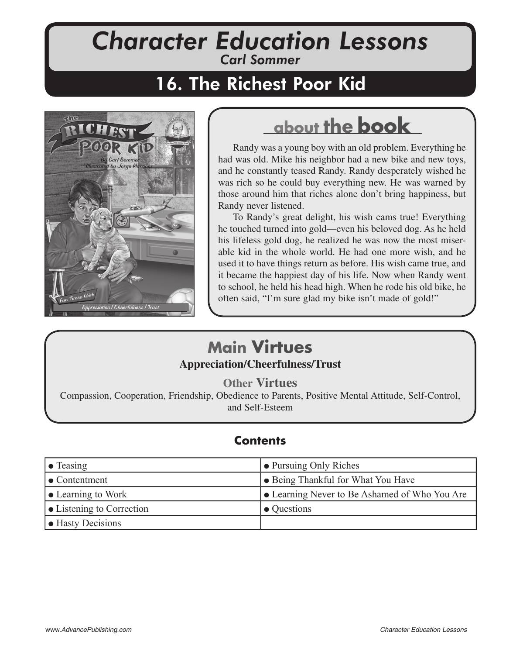# *Character Education Lessons Carl Sommer*

# 16. The Richest Poor Kid



# **about the book**

Randy was a young boy with an old problem. Everything he had was old. Mike his neighbor had a new bike and new toys, and he constantly teased Randy. Randy desperately wished he was rich so he could buy everything new. He was warned by those around him that riches alone don't bring happiness, but Randy never listened.

To Randy's great delight, his wish cams true! Everything he touched turned into gold—even his beloved dog. As he held his lifeless gold dog, he realized he was now the most miserable kid in the whole world. He had one more wish, and he used it to have things return as before. His wish came true, and it became the happiest day of his life. Now when Randy went to school, he held his head high. When he rode his old bike, he often said, "I'm sure glad my bike isn't made of gold!"

## **Main Virtues Appreciation/Cheerfulness/Trust /Cheerfulness/Trust**

**Other Virtues**

Compassion, Cooperation, Friendship, Obedience to Parents, Positive Mental Attitude, Self-Control, and Self-Esteem

#### **Contents**

| $\bullet$ Teasing                 | • Pursuing Only Riches                        |
|-----------------------------------|-----------------------------------------------|
| $\bullet$ Contentment             | $\bullet$ Being Thankful for What You Have    |
| $\bullet$ Learning to Work        | • Learning Never to Be Ashamed of Who You Are |
| $\bullet$ Listening to Correction | • Questions                                   |
| • Hasty Decisions                 |                                               |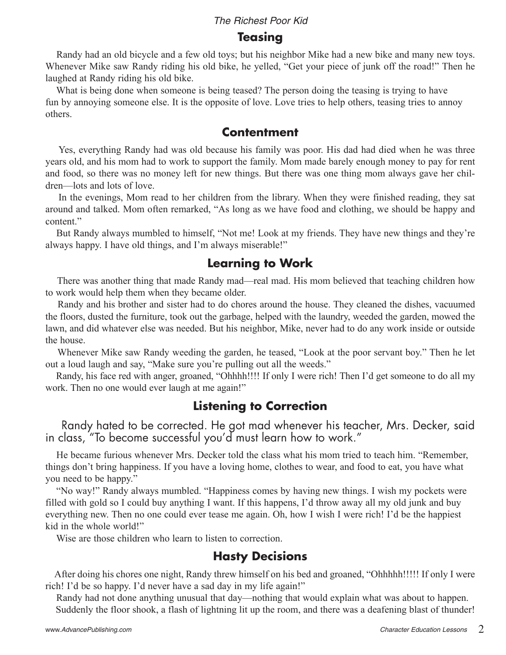#### **Teasing**

 Randy had an old bicycle and a few old toys; but his neighbor Mike had a new bike and many new toys. Whenever Mike saw Randy riding his old bike, he yelled, "Get your piece of junk off the road!" Then he laughed at Randy riding his old bike.

 What is being done when someone is being teased? The person doing the teasing is trying to have fun by annoying someone else. It is the opposite of love. Love tries to help others, teasing tries to annoy others.

#### **Contentment**

 Yes, everything Randy had was old because his family was poor. His dad had died when he was three years old, and his mom had to work to support the family. Mom made barely enough money to pay for rent and food, so there was no money left for new things. But there was one thing mom always gave her children—lots and lots of love.

 In the evenings, Mom read to her children from the library. When they were finished reading, they sat around and talked. Mom often remarked, "As long as we have food and clothing, we should be happy and content."

 But Randy always mumbled to himself, "Not me! Look at my friends. They have new things and they're always happy. I have old things, and I'm always miserable!"

#### **Learning to Work**

 There was another thing that made Randy mad—real mad. His mom believed that teaching children how to work would help them when they became older.

 Randy and his brother and sister had to do chores around the house. They cleaned the dishes, vacuumed the floors, dusted the furniture, took out the garbage, helped with the laundry, weeded the garden, mowed the lawn, and did whatever else was needed. But his neighbor, Mike, never had to do any work inside or outside the house.

 Whenever Mike saw Randy weeding the garden, he teased, "Look at the poor servant boy." Then he let out a loud laugh and say, "Make sure you're pulling out all the weeds."

 Randy, his face red with anger, groaned, "Ohhhh!!!! If only I were rich! Then I'd get someone to do all my work. Then no one would ever laugh at me again!"

## **Listening to Correction**

Randy hated to be corrected. He got mad whenever his teacher, Mrs. Decker, said in class, "To become successful you'd must learn how to work."

 He became furious whenever Mrs. Decker told the class what his mom tried to teach him. "Remember, things don't bring happiness. If you have a loving home, clothes to wear, and food to eat, you have what you need to be happy."

 "No way!" Randy always mumbled. "Happiness comes by having new things. I wish my pockets were filled with gold so I could buy anything I want. If this happens, I'd throw away all my old junk and buy everything new. Then no one could ever tease me again. Oh, how I wish I were rich! I'd be the happiest kid in the whole world!"

Wise are those children who learn to listen to correction.

## **Hasty Decisions**

 After doing his chores one night, Randy threw himself on his bed and groaned, "Ohhhhh!!!!! If only I were rich! I'd be so happy. I'd never have a sad day in my life again!"

 Randy had not done anything unusual that day—nothing that would explain what was about to happen. Suddenly the floor shook, a flash of lightning lit up the room, and there was a deafening blast of thunder!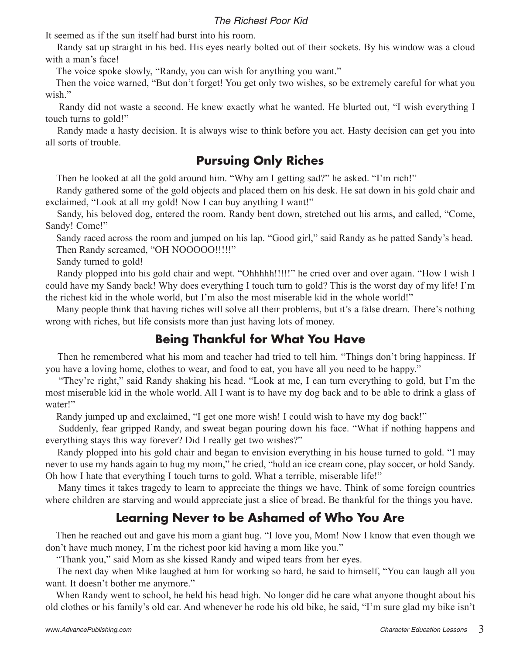It seemed as if the sun itself had burst into his room.

 Randy sat up straight in his bed. His eyes nearly bolted out of their sockets. By his window was a cloud with a man's face!

The voice spoke slowly, "Randy, you can wish for anything you want."

 Then the voice warned, "But don't forget! You get only two wishes, so be extremely careful for what you wish."

 Randy did not waste a second. He knew exactly what he wanted. He blurted out, "I wish everything I touch turns to gold!"

 Randy made a hasty decision. It is always wise to think before you act. Hasty decision can get you into all sorts of trouble.

#### **Pursuing Only Riches**

Then he looked at all the gold around him. "Why am I getting sad?" he asked. "I'm rich!"

 Randy gathered some of the gold objects and placed them on his desk. He sat down in his gold chair and exclaimed, "Look at all my gold! Now I can buy anything I want!"

 Sandy, his beloved dog, entered the room. Randy bent down, stretched out his arms, and called, "Come, Sandy! Come!"

 Sandy raced across the room and jumped on his lap. "Good girl," said Randy as he patted Sandy's head. Then Randy screamed, "OH NOOOOO!!!!!"

Sandy turned to gold!

 Randy plopped into his gold chair and wept. "Ohhhhh!!!!!" he cried over and over again. "How I wish I could have my Sandy back! Why does everything I touch turn to gold? This is the worst day of my life! I'm the richest kid in the whole world, but I'm also the most miserable kid in the whole world!"

 Many people think that having riches will solve all their problems, but it's a false dream. There's nothing wrong with riches, but life consists more than just having lots of money.

#### **Being Thankful for What You Have**

 Then he remembered what his mom and teacher had tried to tell him. "Things don't bring happiness. If you have a loving home, clothes to wear, and food to eat, you have all you need to be happy."

 "They're right," said Randy shaking his head. "Look at me, I can turn everything to gold, but I'm the most miserable kid in the whole world. All I want is to have my dog back and to be able to drink a glass of water!"

Randy jumped up and exclaimed, "I get one more wish! I could wish to have my dog back!"

 Suddenly, fear gripped Randy, and sweat began pouring down his face. "What if nothing happens and everything stays this way forever? Did I really get two wishes?"

 Randy plopped into his gold chair and began to envision everything in his house turned to gold. "I may never to use my hands again to hug my mom," he cried, "hold an ice cream cone, play soccer, or hold Sandy. Oh how I hate that everything I touch turns to gold. What a terrible, miserable life!"

 Many times it takes tragedy to learn to appreciate the things we have. Think of some foreign countries where children are starving and would appreciate just a slice of bread. Be thankful for the things you have.

## **Learning Never to be Ashamed of Who You Are**

 Then he reached out and gave his mom a giant hug. "I love you, Mom! Now I know that even though we don't have much money, I'm the richest poor kid having a mom like you."

"Thank you," said Mom as she kissed Randy and wiped tears from her eyes.

 The next day when Mike laughed at him for working so hard, he said to himself, "You can laugh all you want. It doesn't bother me anymore."

 When Randy went to school, he held his head high. No longer did he care what anyone thought about his old clothes or his family's old car. And whenever he rode his old bike, he said, "I'm sure glad my bike isn't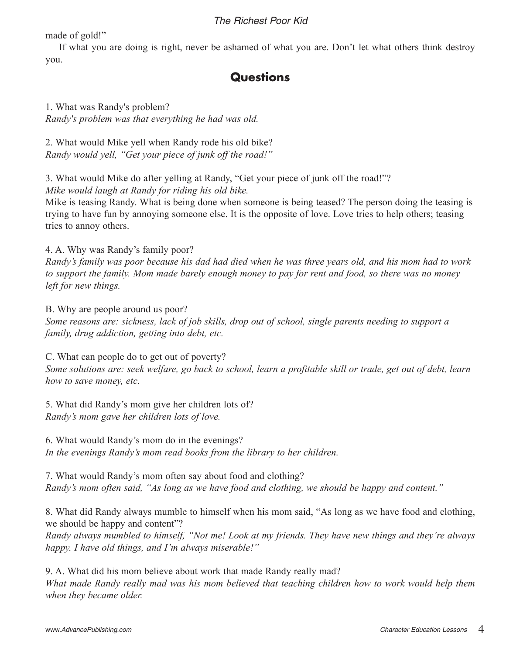made of gold!"

 If what you are doing is right, never be ashamed of what you are. Don't let what others think destroy you.

#### **Questions**

1. What was Randy's problem? *Randy's problem was that everything he had was old.*

2. What would Mike yell when Randy rode his old bike? *Randy would yell, "Get your piece of junk off the road!"* 

3. What would Mike do after yelling at Randy, "Get your piece of junk off the road!"?

*Mike would laugh at Randy for riding his old bike.*

Mike is teasing Randy. What is being done when someone is being teased? The person doing the teasing is trying to have fun by annoying someone else. It is the opposite of love. Love tries to help others; teasing tries to annoy others.

4. A. Why was Randy's family poor?

*Randy's family was poor because his dad had died when he was three years old, and his mom had to work to support the family. Mom made barely enough money to pay for rent and food, so there was no money left for new things.* 

B. Why are people around us poor? *Some reasons are: sickness, lack of job skills, drop out of school, single parents needing to support a family, drug addiction, getting into debt, etc.*

C. What can people do to get out of poverty? *Some solutions are: seek welfare, go back to school, learn a profitable skill or trade, get out of debt, learn how to save money, etc.* 

5. What did Randy's mom give her children lots of? *Randy's mom gave her children lots of love.*

6. What would Randy's mom do in the evenings? *In the evenings Randy's mom read books from the library to her children.*

7. What would Randy's mom often say about food and clothing? *Randy's mom often said, "As long as we have food and clothing, we should be happy and content."*

8. What did Randy always mumble to himself when his mom said, "As long as we have food and clothing, we should be happy and content"?

*Randy always mumbled to himself, "Not me! Look at my friends. They have new things and they're always happy. I have old things, and I'm always miserable!"*

9. A. What did his mom believe about work that made Randy really mad? *What made Randy really mad was his mom believed that teaching children how to work would help them when they became older.*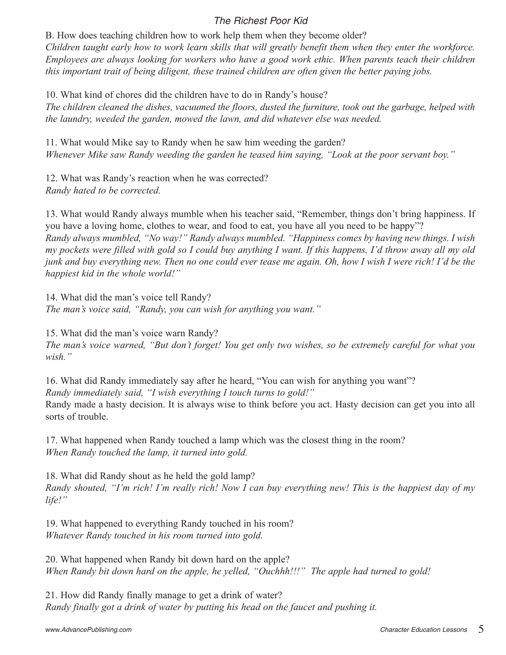B. How does teaching children how to work help them when they become older? *Children taught early how to work learn skills that will greatly benefit them when they enter the workforce. Employees are always looking for workers who have a good work ethic. When parents teach their children this important trait of being diligent, these trained children are often given the better paying jobs.*

10. What kind of chores did the children have to do in Randy's house? *The children cleaned the dishes, vacuumed the floors, dusted the furniture, took out the garbage, helped with the laundry, weeded the garden, mowed the lawn, and did whatever else was needed.*

11. What would Mike say to Randy when he saw him weeding the garden? *Whenever Mike saw Randy weeding the garden he teased him saying, "Look at the poor servant boy."*

12. What was Randy's reaction when he was corrected? *Randy hated to be corrected.* 

13. What would Randy always mumble when his teacher said, "Remember, things don't bring happiness. If you have a loving home, clothes to wear, and food to eat, you have all you need to be happy"? *Randy always mumbled, "No way!" Randy always mumbled. "Happiness comes by having new things. I wish my pockets were filled with gold so I could buy anything I want. If this happens, I'd throw away all my old junk and buy everything new. Then no one could ever tease me again. Oh, how I wish I were rich! I'd be the happiest kid in the whole world!"*

14. What did the man's voice tell Randy?

*The man's voice said, "Randy, you can wish for anything you want."*

15. What did the man's voice warn Randy?

*The man's voice warned, "But don't forget! You get only two wishes, so be extremely careful for what you wish."*

16. What did Randy immediately say after he heard, "You can wish for anything you want"? *Randy immediately said, "I wish everything I touch turns to gold!"* Randy made a hasty decision. It is always wise to think before you act. Hasty decision can get you into all sorts of trouble.

17. What happened when Randy touched a lamp which was the closest thing in the room? *When Randy touched the lamp, it turned into gold.*

18. What did Randy shout as he held the gold lamp? *Randy shouted, "I'm rich! I'm really rich! Now I can buy everything new! This is the happiest day of my life!"*

19. What happened to everything Randy touched in his room? *Whatever Randy touched in his room turned into gold.*

20. What happened when Randy bit down hard on the apple? *When Randy bit down hard on the apple, he yelled, "Ouchhh!!!" The apple had turned to gold!*

21. How did Randy finally manage to get a drink of water? *Randy finally got a drink of water by putting his head on the faucet and pushing it.*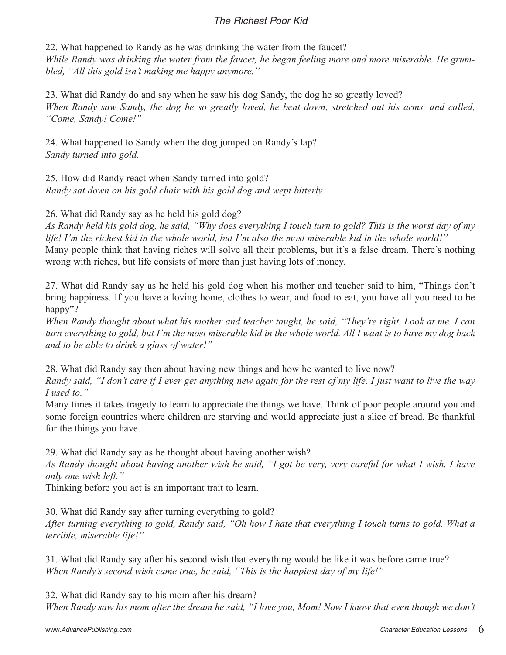22. What happened to Randy as he was drinking the water from the faucet? *While Randy was drinking the water from the faucet, he began feeling more and more miserable. He grumbled, "All this gold isn't making me happy anymore."* 

23. What did Randy do and say when he saw his dog Sandy, the dog he so greatly loved? *When Randy saw Sandy, the dog he so greatly loved, he bent down, stretched out his arms, and called, "Come, Sandy! Come!"*

24. What happened to Sandy when the dog jumped on Randy's lap? *Sandy turned into gold.*

25. How did Randy react when Sandy turned into gold? *Randy sat down on his gold chair with his gold dog and wept bitterly.* 

26. What did Randy say as he held his gold dog?

*As Randy held his gold dog, he said, "Why does everything I touch turn to gold? This is the worst day of my life! I'm the richest kid in the whole world, but I'm also the most miserable kid in the whole world!"* Many people think that having riches will solve all their problems, but it's a false dream. There's nothing

wrong with riches, but life consists of more than just having lots of money.

27. What did Randy say as he held his gold dog when his mother and teacher said to him, "Things don't bring happiness. If you have a loving home, clothes to wear, and food to eat, you have all you need to be happy"?

*When Randy thought about what his mother and teacher taught, he said, "They're right. Look at me. I can turn everything to gold, but I'm the most miserable kid in the whole world. All I want is to have my dog back and to be able to drink a glass of water!"*

28. What did Randy say then about having new things and how he wanted to live now?

*Randy said, "I don't care if I ever get anything new again for the rest of my life. I just want to live the way I used to."*

Many times it takes tragedy to learn to appreciate the things we have. Think of poor people around you and some foreign countries where children are starving and would appreciate just a slice of bread. Be thankful for the things you have.

29. What did Randy say as he thought about having another wish?

*As Randy thought about having another wish he said, "I got be very, very careful for what I wish. I have only one wish left."*

Thinking before you act is an important trait to learn.

30. What did Randy say after turning everything to gold?

*After turning everything to gold, Randy said, "Oh how I hate that everything I touch turns to gold. What a terrible, miserable life!"*

31. What did Randy say after his second wish that everything would be like it was before came true? *When Randy's second wish came true, he said, "This is the happiest day of my life!"*

32. What did Randy say to his mom after his dream? *When Randy saw his mom after the dream he said, "I love you, Mom! Now I know that even though we don't*